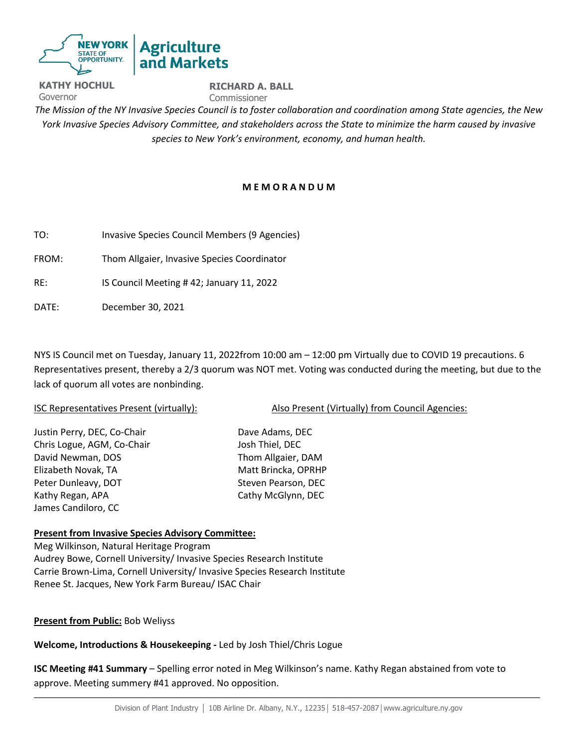

**KATHY HOCHUL** Governor **RICHARD A. BALL**  Commissioner *The Mission of the NY Invasive Species Council is to foster collaboration and coordination among State agencies, the New York Invasive Species Advisory Committee, and stakeholders across the State to minimize the harm caused by invasive species to New York's environment, economy, and human health.* 

## **M E M O R A N D U M**

TO: Invasive Species Council Members (9 Agencies)

FROM: Thom Allgaier, Invasive Species Coordinator

RE: IS Council Meeting # 42; January 11, 2022

DATE: December 30, 2021

NYS IS Council met on Tuesday, January 11, 2022from 10:00 am – 12:00 pm Virtually due to COVID 19 precautions. 6 Representatives present, thereby a 2/3 quorum was NOT met. Voting was conducted during the meeting, but due to the lack of quorum all votes are nonbinding.

| ISC Representatives Present (virtually): | Also Present (Virtually) from Council Agencies: |
|------------------------------------------|-------------------------------------------------|
|                                          |                                                 |
| Justin Perry, DEC, Co-Chair              | Dave Adams, DEC                                 |
| Chris Logue, AGM, Co-Chair               | Josh Thiel, DEC                                 |
| David Newman, DOS                        | Thom Allgaier, DAM                              |
| Elizabeth Novak, TA                      | Matt Brincka, OPRHP                             |
| Peter Dunleavy, DOT                      | Steven Pearson, DEC                             |
| Kathy Regan, APA                         | Cathy McGlynn, DEC                              |
| James Candiloro, CC                      |                                                 |
|                                          |                                                 |

## **Present from Invasive Species Advisory Committee:**

Meg Wilkinson, Natural Heritage Program Audrey Bowe, Cornell University/ Invasive Species Research Institute Carrie Brown-Lima, Cornell University/ Invasive Species Research Institute Renee St. Jacques, New York Farm Bureau/ ISAC Chair

**Present from Public:** Bob Weliyss

**Welcome, Introductions & Housekeeping -** Led by Josh Thiel/Chris Logue

**ISC Meeting #41 Summary** – Spelling error noted in Meg Wilkinson's name. Kathy Regan abstained from vote to approve. Meeting summery #41 approved. No opposition.